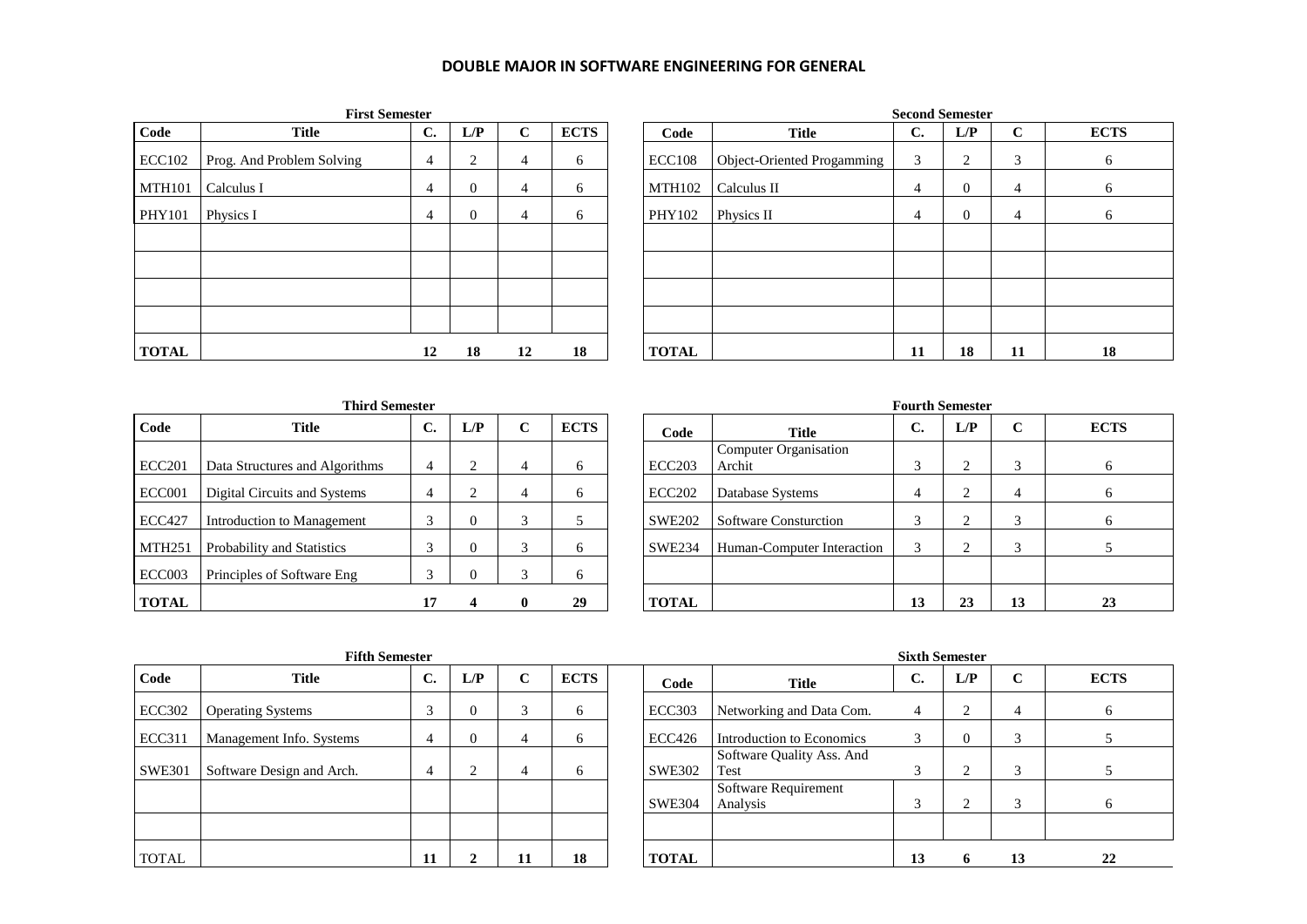## **DOUBLE MAJOR IN SOFTWARE ENGINEERING FOR GENERAL**

|               | <b>First Semester</b>     |                |              |             |             | <b>Second Semester</b> |                            |    |                |             |                 |  |  |  |
|---------------|---------------------------|----------------|--------------|-------------|-------------|------------------------|----------------------------|----|----------------|-------------|-----------------|--|--|--|
| Code          | <b>Title</b>              | $\mathbf{C}$ . | L/P          | $\mathbf C$ | <b>ECTS</b> | Code                   | <b>Title</b>               | C. | L/P            | $\mathbf C$ | EC <sup>®</sup> |  |  |  |
| <b>ECC102</b> | Prog. And Problem Solving | 4              | 2            | 4           | 6           | <b>ECC108</b>          | Object-Oriented Progamming | 3  | 2              | 3           | 6               |  |  |  |
| <b>MTH101</b> | Calculus I                | 4              | $\mathbf{0}$ | 4           | 6           | <b>MTH102</b>          | Calculus II                | 4  | $\overline{0}$ | 4           | 6               |  |  |  |
| <b>PHY101</b> | Physics I                 | 4              | $\mathbf{0}$ | 4           | 6           | PHY102                 | Physics II                 | 4  | $\theta$       | 4           | 6               |  |  |  |
|               |                           |                |              |             |             |                        |                            |    |                |             |                 |  |  |  |
|               |                           |                |              |             |             |                        |                            |    |                |             |                 |  |  |  |
|               |                           |                |              |             |             |                        |                            |    |                |             |                 |  |  |  |
|               |                           |                |              |             |             |                        |                            |    |                |             |                 |  |  |  |
| <b>TOTAL</b>  |                           | 12             | 18           | 12          | 18          | <b>TOTAL</b>           |                            | 11 | 18             | 11          | 18              |  |  |  |

|              | <b>First Semester</b>     |    |                |             |             |               |                            |                | <b>Second Semester</b> |             |              |
|--------------|---------------------------|----|----------------|-------------|-------------|---------------|----------------------------|----------------|------------------------|-------------|--------------|
| Code         | <b>Title</b>              | C. | L/P            | $\mathbf C$ | <b>ECTS</b> | Code          | <b>Title</b>               | $\mathbf{C}$ . | L/P                    | $\mathbf C$ | <b>ECTS</b>  |
| ECC102       | Prog. And Problem Solving | 4  | 2              | 4           | 6           | <b>ECC108</b> | Object-Oriented Progamming | 3              | 2                      | 3           | 6            |
| MTH101       | Calculus I                | 4  | $\overline{0}$ | 4           | 6           | <b>MTH102</b> | Calculus II                | 4              | $\mathbf{0}$           | 4           | O            |
| PHY101       | Physics I                 | 4  | $\overline{0}$ | 4           | 6           | PHY102        | Physics II                 | 4              | $\Omega$               | 4           | <sub>0</sub> |
|              |                           |    |                |             |             |               |                            |                |                        |             |              |
|              |                           |    |                |             |             |               |                            |                |                        |             |              |
|              |                           |    |                |             |             |               |                            |                |                        |             |              |
|              |                           |    |                |             |             |               |                            |                |                        |             |              |
| <b>TOTAL</b> |                           | 12 | 18             | 12          | 18          | <b>TOTAL</b>  |                            | 11             | 18                     | 11          | 18           |

| <b>Third Semester</b> |                                |    |                |             |             |  |               |  |  |  |  |  |  |
|-----------------------|--------------------------------|----|----------------|-------------|-------------|--|---------------|--|--|--|--|--|--|
| Code                  | Title                          | C. | L/P            | $\mathbf C$ | <b>ECTS</b> |  | Code          |  |  |  |  |  |  |
| <b>ECC201</b>         | Data Structures and Algorithms | 4  | $\overline{c}$ | 4           | 6           |  | <b>ECC203</b> |  |  |  |  |  |  |
| ECC001                | Digital Circuits and Systems   | 4  | 2              | 4           | 6           |  | <b>ECC202</b> |  |  |  |  |  |  |
| <b>ECC427</b>         | Introduction to Management     | 3  | $\theta$       | 3           | 5           |  | <b>SWE202</b> |  |  |  |  |  |  |
| <b>MTH251</b>         | Probability and Statistics     | 3  | $\Omega$       | 3           | 6           |  | <b>SWE234</b> |  |  |  |  |  |  |
| ECC <sub>003</sub>    | Principles of Software Eng     | 3  | $\theta$       | 3           | 6           |  |               |  |  |  |  |  |  |
| <b>TOTAL</b>          |                                | 17 |                | 0           | 29          |  | TAL.          |  |  |  |  |  |  |

|               | <b>Third Semester</b>          |                  |     |        |              |               |                                 |            | <b>Fourth Semester</b> |                         |              |
|---------------|--------------------------------|------------------|-----|--------|--------------|---------------|---------------------------------|------------|------------------------|-------------------------|--------------|
| Code          | <b>Title</b>                   | $\sqrt{ }$<br>J. | L/P | $\sim$ | <b>ECTS</b>  | Code          | <b>Title</b>                    | C.         | L/P                    | $\mathbf C$             | <b>ECTS</b>  |
| <b>ECC201</b> | Data Structures and Algorithms | 4                |     |        | <sub>0</sub> | <b>ECC203</b> | Computer Organisation<br>Archit | $\sqrt{2}$ |                        | 3                       | 6            |
| <b>ECC001</b> | Digital Circuits and Systems   |                  |     |        | <sub>0</sub> | <b>ECC202</b> | Database Systems                |            |                        | 4                       | 6            |
| <b>ECC427</b> | Introduction to Management     |                  | 0   |        |              | <b>SWE202</b> | <b>Software Consturction</b>    |            |                        | 3                       | <sub>b</sub> |
| MTH251        | Probability and Statistics     |                  | 0   |        | 6            | <b>SWE234</b> | Human-Computer Interaction      |            |                        | $\mathbf{\overline{3}}$ |              |
| ECC003        | Principles of Software Eng     | $\sqrt{2}$       |     |        | <sub>0</sub> |               |                                 |            |                        |                         |              |
| <b>TOTAL</b>  |                                | 17               |     | 0      | 29           | <b>TOTAL</b>  |                                 | 13         | 23                     | 13                      | 23           |

| <b>Fifth Semester</b> |  |
|-----------------------|--|
|                       |  |

| Code          | <b>Title</b>              | $\mathbf{C}$ . | L/P | r | <b>ECTS</b> | Code          | <b>Title</b>                      | $\sim$<br>U.            | L/P      | $\mathbf C$ | EC <sup>®</sup>     |
|---------------|---------------------------|----------------|-----|---|-------------|---------------|-----------------------------------|-------------------------|----------|-------------|---------------------|
| <b>ECC302</b> | <b>Operating Systems</b>  |                |     |   | 6           | <b>ECC303</b> | Networking and Data Com.          | 4                       | ◠        | 4           |                     |
| <b>ECC311</b> | Management Info. Systems  | 4              | v   |   | 6           | <b>ECC426</b> | Introduction to Economics         |                         | $\theta$ | $\sim$      |                     |
| <b>SWE301</b> | Software Design and Arch. | 4              |     | 4 | 6           | <b>SWE302</b> | Software Quality Ass. And<br>Test | $\overline{\mathbf{c}}$ | ◠        | $\sim$      |                     |
|               |                           |                |     |   |             | <b>SWE304</b> | Software Requirement<br>Analysis  |                         | $\sim$   | $\sim$      |                     |
|               |                           |                |     |   |             |               |                                   |                         |          |             |                     |
| <b>TOTAL</b>  |                           | 11             |     |   | 18          | <b>TOTAL</b>  |                                   | 13                      | n        | 13          | $\mathbf{2}^\prime$ |

 $\mathbf{r}$ 

|               | <b>Fifth Semester</b><br>$\mathbf{C}$ .<br>L/P<br><b>ECTS</b><br>$\mathbf C$<br><b>Title</b><br><b>Operating Systems</b><br>0<br><sub>0</sub><br>Management Info. Systems<br>$_{0}$<br>6<br>Software Design and Arch.<br>4<br>6 |    |  |    |    |  |               | <b>Sixth Semester</b>             |    |     |             |              |  |  |
|---------------|---------------------------------------------------------------------------------------------------------------------------------------------------------------------------------------------------------------------------------|----|--|----|----|--|---------------|-----------------------------------|----|-----|-------------|--------------|--|--|
| Code          |                                                                                                                                                                                                                                 |    |  |    |    |  | Code          | <b>Title</b>                      | C. | L/P | $\mathbf C$ | <b>ECTS</b>  |  |  |
| ECC302        |                                                                                                                                                                                                                                 |    |  |    |    |  | <b>ECC303</b> | Networking and Data Com.          | 4  |     | 4           | <sub>0</sub> |  |  |
| <b>ECC311</b> |                                                                                                                                                                                                                                 |    |  |    |    |  | ECC426        | Introduction to Economics         | 3  |     | 2           |              |  |  |
| SWE301        |                                                                                                                                                                                                                                 |    |  |    |    |  | <b>SWE302</b> | Software Quality Ass. And<br>Test | 3  |     | 3           |              |  |  |
|               |                                                                                                                                                                                                                                 |    |  |    |    |  | <b>SWE304</b> | Software Requirement<br>Analysis  | 3  |     | ⌒           | <sub>n</sub> |  |  |
|               |                                                                                                                                                                                                                                 |    |  |    |    |  |               |                                   |    |     |             |              |  |  |
| TOTAL         |                                                                                                                                                                                                                                 | 11 |  | 11 | 18 |  | <b>TOTAL</b>  |                                   | 13 |     | 13          | 22           |  |  |